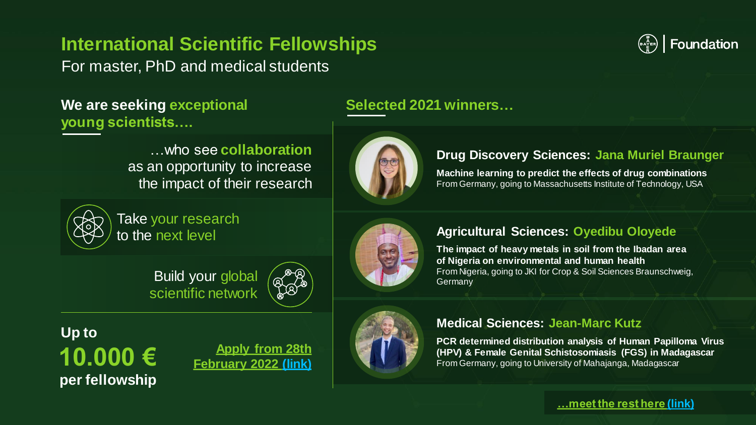## **International Scientific Fellowships**

For master, PhD and medical students

### **We are seeking exceptional Selected 2021 winners... young scientists….**

…who see **collaboration**  as an opportunity to increase the impact of their research



Take your research to the next level

> Build your global scientific network



**10.000 € per fellowship Up to**

**Apply from 28th [February 2022 \(link\)](https://www.bayer-foundation.com/apply-here-our-2022-fellowships-program)** 





#### **Drug Discovery Sciences: Jana Muriel Braunger**

 $\binom{1}{\epsilon}$   $\binom{1}{\epsilon}$  Foundation

**Machine learning to predict the effects of drug combinations** From Germany, going to Massachusetts Institute of Technology, USA



#### **Agricultural Sciences: Oyedibu Oloyede**

**The impact of heavy metals in soil from the Ibadan area of Nigeria on environmental and human health**  From Nigeria, going to JKI for Crop & Soil Sciences Braunschweig, **Germany** 

#### **Medical Sciences: Jean-Marc Kutz**

**PCR determined distribution analysis of Human Papilloma Virus (HPV) & Female Genital Schistosomiasis (FGS) in Madagascar**  From Germany, going to University of Mahajanga, Madagascar

#### **[…meet the rest here \(link\)](https://www.bayer-foundation.com/meet-our-2021-scientific-fellowship-awardees)**